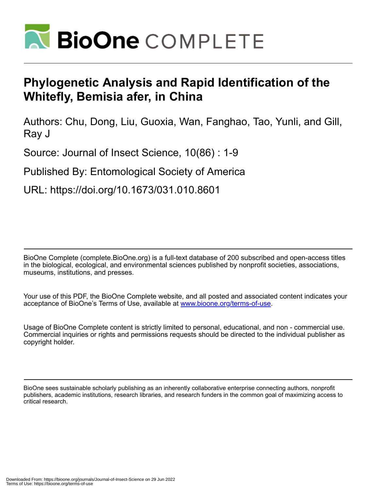

# **Phylogenetic Analysis and Rapid Identification of the Whitefly, Bemisia afer, in China**

Authors: Chu, Dong, Liu, Guoxia, Wan, Fanghao, Tao, Yunli, and Gill, Ray J

Source: Journal of Insect Science, 10(86) : 1-9

Published By: Entomological Society of America

URL: https://doi.org/10.1673/031.010.8601

BioOne Complete (complete.BioOne.org) is a full-text database of 200 subscribed and open-access titles in the biological, ecological, and environmental sciences published by nonprofit societies, associations, museums, institutions, and presses.

Your use of this PDF, the BioOne Complete website, and all posted and associated content indicates your acceptance of BioOne's Terms of Use, available at www.bioone.org/terms-of-use.

Usage of BioOne Complete content is strictly limited to personal, educational, and non - commercial use. Commercial inquiries or rights and permissions requests should be directed to the individual publisher as copyright holder.

BioOne sees sustainable scholarly publishing as an inherently collaborative enterprise connecting authors, nonprofit publishers, academic institutions, research libraries, and research funders in the common goal of maximizing access to critical research.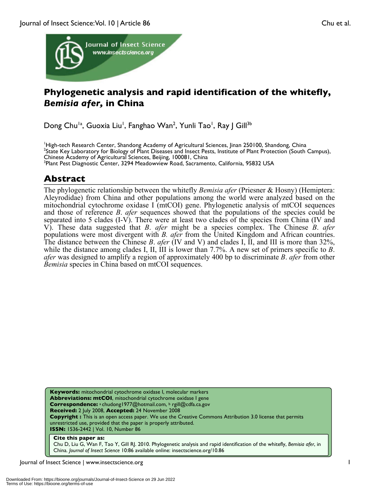

## **Phylogenetic analysis and rapid identification of the whitefly,**  *Bemisia afer,* **in China**

Dong Chu<sup>la</sup>, Guoxia Liu<sup>l</sup>, Fanghao Wan<sup>2</sup>, Yunli Tao<sup>l</sup>, Ray J Gill<sup>3b</sup>

<sup>1</sup>High-tech Research Center, Shandong Academy of Agricultural Sciences, Jinan 250100, Shandong, China<sup>2</sup>State Kov Laboratory for Biology of Plant Disease and Insect Posts, Institute of Plant Protection (South) <sup>2</sup>State Key Laboratory for Biology of Plant Diseases and Insect Pests, Institute of Plant Protection (South Campus), Chinese Academy of Agricultural Sciences, Beijing, 100081, China <sup>3</sup>  ${}^{3}$ Plant Pest Diagnostic Center, 3294 Meadowview Road, Sacramento, California, 95832 USA

### **Abstract**

The phylogenetic relationship between the whitefly *Bemisia afer* (Priesner & Hosny) (Hemiptera: Aleyrodidae) from China and other populations among the world were analyzed based on the mitochondrial cytochrome oxidase I (mtCOI) gene. Phylogenetic analysis of mtCOI sequences and those of reference *B*. *afer* sequences showed that the populations of the species could be separated into 5 clades (I-V). There were at least two clades of the species from China (IV and V). These data suggested that *B*. *afer* might be a species complex. The Chinese *B*. *afer* populations were most divergent with *B. afer* from the United Kingdom and African countries. The distance between the Chinese *B*. *afer* (IV and V) and clades I, II, and III is more than 32%, while the distance among clades I, II, III is lower than 7.7%. A new set of primers specific to *B*. *afer* was designed to amplify a region of approximately 400 bp to discriminate *B*. *afer* from other *Bemisia* species in China based on mtCOI sequences.

**Keywords:** mitochondrial cytochrome oxidase I, molecular markers **Abbreviations: mtCOI**, mitochondrial cytochrome oxidase I gene **Correspondence:** <sup>a</sup> chudong1977@hotmail.com, <sup>b</sup> rgill@cdfa.ca.gov **Received:** 2 July 2008, **Accepted:** 24 November 2008 **Copyright :** This is an open access paper. We use the Creative Commons Attribution 3.0 license that permits unrestricted use, provided that the paper is properly attributed. **ISSN:** 1536-2442 | Vol. 10, Number 86

#### **Cite this paper as:**

Chu D, Liu G, Wan F, Tao Y, Gill RJ. 2010. Phylogenetic analysis and rapid identification of the whitefly, *Bemisia afer*, in China*. Journal of Insect Science* 10:86 available online: insectscience.org/10.86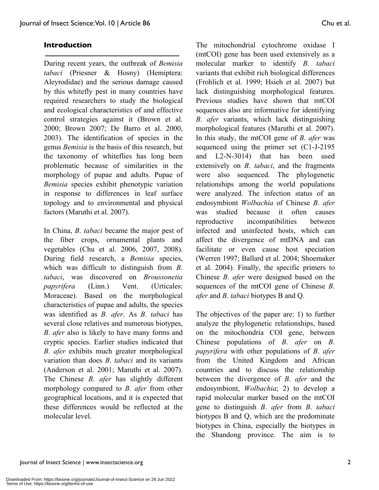#### **Introduction**

During recent years, the outbreak of *Bemisia tabaci* (Priesner & Hosny) (Hemiptera: Aleyrodidae) and the serious damage caused by this whitefly pest in many countries have required researchers to study the biological and ecological characteristics of and effective control strategies against it (Brown et al. 2000; Brown 2007; De Barro et al. 2000, 2003). The identification of species in the genus *Bemisia* is the basis of this research, but the taxonomy of whiteflies has long been problematic because of similarities in the morphology of pupae and adults. Pupae of *Bemisia* species exhibit phenotypic variation in response to differences in leaf surface topology and to environmental and physical factors (Maruthi et al. 2007).

In China, *B*. *tabaci* became the major pest of the fiber crops, ornamental plants and vegetables (Chu et al. 2006, 2007, 2008). During field research, a *Bemisia* species, which was difficult to distinguish from *B*. *tabaci*, was discovered on *Broussonetia papyrifera* (Linn.) Vent. (Urticales: Moraceae). Based on the morphological characteristics of pupae and adults, the species was identified as *B. afer*. As *B*. *tabaci* has several close relatives and numerous biotypes, *B*. *afer* also is likely to have many forms and cryptic species. Earlier studies indicated that *B*. *afer* exhibits much greater morphological variation than does *B*. *tabaci* and its variants (Anderson et al. 2001; Maruthi et al. 2007). The Chinese *B*. *afer* has slightly different morphology compared to *B*. *afer* from other geographical locations, and it is expected that these differences would be reflected at the molecular level.

The mitochondrial cytochrome oxidase I (mtCOI) gene has been used extensively as a molecular marker to identify *B*. *tabaci*  variants that exhibit rich biological differences (Frohlich et al. 1999; Hsieh et al. 2007) but lack distinguishing morphological features. Previous studies have shown that mtCOI sequences also are informative for identifying *B*. *afer* variants, which lack distinguishing morphological features (Maruthi et al. 2007). In this study, the mtCOI gene of *B*. *afer* was sequenced using the primer set (C1-J-2195 and L2-N-3014) that has been used extensively on *B*. *tabaci*, and the fragments were also sequenced. The phylogenetic relationships among the world populations were analyzed. The infection status of an endosymbiont *Wolbachia* of Chinese *B*. *afer* was studied because it often causes reproductive incompatibilities between infected and uninfected hosts, which can affect the divergence of mtDNA and can facilitate or even cause host speciation (Werren 1997; Ballard et al. 2004; Shoemaker et al. 2004). Finally, the specific primers to Chinese *B*. *afer* were designed based on the sequences of the mtCOI gene of Chinese *B*. *afer* and *B*. *tabaci* biotypes B and Q.

The objectives of the paper are: 1) to further analyze the phylogenetic relationships, based on the mitochondria COI gene, between Chinese populations of *B*. *afer* on *B*. *papyrifera* with other populations of *B*. *afer* from the United Kingdom and African countries and to discuss the relationship between the divergence of *B*. *afer* and the endosymbiont, *Wolbachia*; 2) to develop a rapid molecular marker based on the mtCOI gene to distinguish *B*. *afer* from *B*. *tabaci*  biotypes B and Q, which are the predominate biotypes in China, especially the biotypes in the Shandong province. The aim is to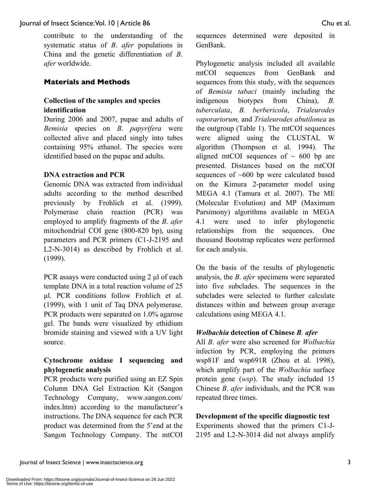contribute to the understanding of the systematic status of *B*. *afer* populations in China and the genetic differentiation of *B*. *afer* worldwide.

#### **Materials and Methods**

#### **Collection of the samples and species identification**

During 2006 and 2007, pupae and adults of *Bemisia* species on *B*. *papyrifera* were collected alive and placed singly into tubes containing 95% ethanol. The species were identified based on the pupae and adults.

#### **DNA extraction and PCR**

Genomic DNA was extracted from individual adults according to the method described previously by Frohlich et al. (1999). Polymerase chain reaction (PCR) was employed to amplify fragments of the *B*. *afer* mitochondrial COI gene (800-820 bp), using parameters and PCR primers (C1-J-2195 and L2-N-3014) as described by Frohlich et al. (1999).

PCR assays were conducted using 2 μl of each template DNA in a total reaction volume of 25 μl. PCR conditions follow Frohlich et al. (1999), with 1 unit of Taq DNA polymerase. PCR products were separated on 1.0% agarose gel. The bands were visualized by ethidium bromide staining and viewed with a UV light source.

#### **Cytochrome oxidase I sequencing and phylogenetic analysis**

PCR products were purified using an EZ Spin Column DNA Gel Extraction Kit (Sangon Technology Company, www.sangon.com/ index.htm) according to the manufacturer's instructions. The DNA sequence for each PCR product was determined from the 5'end at the Sangon Technology Company. The mtCOI sequences determined were deposited in GenBank.

Phylogenetic analysis included all available mtCOI sequences from GenBank and sequences from this study, with the sequences of *Bemisia tabaci* (mainly including the indigenous biotypes from China), *B. tuberculata*, *B. berbericola*, *Trialeurodes vaporariorum,* and *Trialeurodes abutilonea* as the outgroup (Table 1). The mtCOI sequences were aligned using the CLUSTAL W algorithm (Thompson et al. 1994). The aligned mtCOI sequences of  $\sim$  600 bp are presented. Distances based on the mtCOI sequences of ~600 bp were calculated based on the Kimura 2-parameter model using MEGA 4.1 (Tamura et al. 2007). The ME (Molecular Evolution) and MP (Maximum Parsimony) algorithms available in MEGA 4.1 were used to infer phylogenetic relationships from the sequences. One thousand Bootstrap replicates were performed for each analysis.

On the basis of the results of phylogenetic analysis, the *B*. *afer* specimens were separated into five subclades. The sequences in the subclades were selected to further calculate distances within and between group average calculations using MEGA 4.1.

#### *Wolbachia* **detection of Chinese** *B. afer*

All *B*. *afer* were also screened for *Wolbachia* infection by PCR, employing the primers wsp81F and wsp691R (Zhou et al. 1998), which amplify part of the *Wolbachia* surface protein gene (*wsp*). The study included 15 Chinese *B*. *afer* individuals, and the PCR was repeated three times.

#### **Development of the specific diagnostic test**

Experiments showed that the primers C1-J-2195 and L2-N-3014 did not always amplify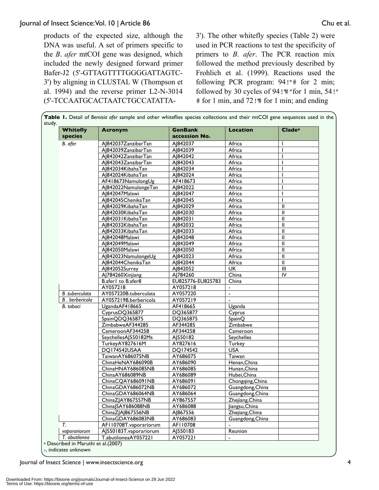products of the expected size, although the DNA was useful. A set of primers specific to the *B*. *afer* mtCOI gene was designed, which included the newly designed forward primer Bafer-J2 (5'-GTTAGTTTTGGGGATTAGTC-3') by aligning in CLUSTAL W (Thompson et al. 1994) and the reverse primer L2-N-3014 (5'-TCCAATGCACTAATCTGCCATATTA-

3'). The other whitefly species (Table 2) were used in PCR reactions to test the specificity of primers to *B*. *afer*. The PCR reaction mix followed the method previously described by Frohlich et al. (1999). Reactions used the following PCR program:  $94$ !"# for 2 min; followed by 30 cycles of  $94$ !" " for 1 min, 54!" # for 1 min, and 72!"# for 1 min; and ending

| <b>Whitefly</b> | <b>Acronym</b>          | <b>GenBank</b>       | <b>Location</b>                     | $C$ lade <sup>a</sup>                 |
|-----------------|-------------------------|----------------------|-------------------------------------|---------------------------------------|
| species         |                         | accession No.        |                                     |                                       |
| B. afer         | AJ842037ZanzibarTan     | AI842037             | Africa                              |                                       |
|                 | AI842039ZanzibarTan     | AJ842039             | Africa                              | ı                                     |
|                 | A 842042ZanzibarTan     | AJ842042             | Africa                              |                                       |
|                 | AJ842043ZanzibarTan     | AJ842043             | Africa                              |                                       |
|                 | AJ842034KibahaTan       | AJ842034             | Africa                              |                                       |
|                 | AJ842024KibahaTan       | AJ842024             | Africa                              |                                       |
|                 | AF418673NamulongUg      | AF418673             | Africa                              |                                       |
|                 | AJ842022NamulongeTan    | AJ842022             | Africa                              |                                       |
|                 | AJ842047Malawi          | A 842047             | Africa                              |                                       |
|                 | AJ842045ChenikaTan      | AJ842045             | Africa                              |                                       |
|                 | AJ842029KibahaTan       | AJ842029             | Africa                              | $\mathbf{I}$                          |
|                 | A 842030KibahaTan       | A 842030             | Africa                              | Ш                                     |
|                 | AJ842031KibahaTan       | AJ842031             | Africa                              | $\mathbf{I}$                          |
|                 | AJ842032KibahaTan       | AJ842032             | Africa                              | $\mathbf{I}$                          |
|                 | AJ842033KibahaTan       | AJ842033             | Africa                              | Ш                                     |
|                 | AJ842048Malawi          | AJ842048             | Africa                              | $\begin{array}{c} \hline \end{array}$ |
|                 | AI842049Malawi          | AJ842049             | Africa                              | $\mathbf{I}$                          |
|                 | AJ842050Malawi          | AJ842050             | Africa                              | $\mathbf{I}$                          |
|                 | AJ842023NamulongeUg     | AJ842023             | Africa                              | $\ensuremath{\mathsf{II}}$            |
|                 | AJ842044ChenikaTan      | AJ842044             | Africa                              | $\mathbf{I}$                          |
|                 | AJ842052Surrey          | AJ842052             | <b>UK</b>                           | $\mathbf{III}$                        |
|                 | AJ784260Xinjiang        | AJ784260             | China                               | IV                                    |
|                 | B.afer I to B.afer8     | EU825776-EU825783    | China                               |                                       |
|                 | AY057218                | AY057218             | $\overline{\phantom{a}}$            |                                       |
| B .tuberculata  | AY057220B.tuberculata   | AY057220             | $\overline{a}$                      |                                       |
| B. berbericola  | AY057219B.berbericola   | AY057219             |                                     |                                       |
| B. tabaci       | UgandaAF418665          | AF418665             | Uganda                              |                                       |
|                 | CyprusDQ365877          | DQ365877             | Cyprus                              |                                       |
|                 | SpainQDQ365875          | DQ365875             | SpainQ                              |                                       |
|                 | ZimbabweAF344285        | AF344285             | Zimbabwe                            |                                       |
|                 | CameroonAF344258        | AF344258             | Cameroon                            |                                       |
|                 | SeychellesAJ550182Ms    | AJ550182             | Seychelles                          |                                       |
|                 | TurkeyAY827616M         | AY827616             | Turkey                              |                                       |
|                 | DQ174542USAA            | DQ174542             | <b>USA</b>                          |                                       |
|                 | TaiwanAY686075NB        |                      | Taiwan                              |                                       |
|                 | ChinaHeNAY686090B       | AY686075<br>AY686090 | Henan, China                        |                                       |
|                 | ChinaHNAY686085NB       | AY686085             | Hunan, China                        |                                       |
|                 | ChinaAY686089NB         | AY686089             | Hubei, China                        |                                       |
|                 | ChinaCQAY686091NB       | AY686091             | Chongqing, China                    |                                       |
|                 | ChinaGDAY686072NB       | AY686072             |                                     |                                       |
|                 | ChinaGDAY686064NB       | AY686064             | Guangdong, China                    |                                       |
|                 | ChinaZJAY867557NB       | AY867557             | Guangdong, China<br>Zhejiang, China |                                       |
| T.              | ChinaJSAY686088NB       | AY686088             | liangsu, China                      |                                       |
|                 | ChinaZJAJ867556NB       |                      | Zhejiang, China                     |                                       |
|                 | ChinaGDAY686083NB       | AJ867556<br>AY686083 | Guangdong, China                    |                                       |
|                 | AFI 10708T.vaporariorum | AFI10708             |                                     |                                       |
| vaborariorum    | AI550183T.vaporariorum  | AJ550183             | Reunion                             |                                       |
| T. abutilonea   | T.abutiloneaAY057221    | AY057221             |                                     |                                       |

-, indicates unknown

Journal of Insect Science | www.insectscience.org 4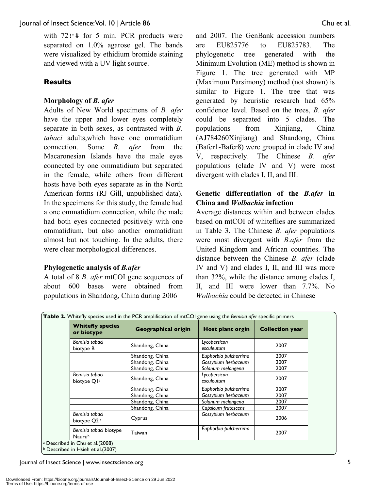with  $72$ !"# for 5 min. PCR products were separated on 1.0% agarose gel. The bands were visualized by ethidium bromide staining and viewed with a UV light source.

#### **Results**

#### **Morphology of** *B. afer*

Adults of New World specimens of *B. afer* have the upper and lower eyes completely separate in both sexes, as contrasted with *B*. *tabaci* adults,which have one ommatidium connection. Some *B. afer* from the Macaronesian Islands have the male eyes connected by one ommatidium but separated in the female, while others from different hosts have both eyes separate as in the North American forms (RJ Gill, unpublished data). In the specimens for this study, the female had a one ommatidium connection, while the male had both eyes connected positively with one ommatidium, but also another ommatidium almost but not touching. In the adults, there were clear morphological differences.

#### **Phylogenetic analysis of** *B.afer*

A total of 8 *B*. *afer* mtCOI gene sequences of about 600 bases were obtained from populations in Shandong, China during 2006

and 2007. The GenBank accession numbers are EU825776 to EU825783. The phylogenetic tree generated with the Minimum Evolution (ME) method is shown in Figure 1. The tree generated with MP (Maximum Parsimony) method (not shown) is similar to Figure 1. The tree that was generated by heuristic research had 65% confidence level. Based on the trees, *B*. *afer* could be separated into 5 clades. The populations from Xinjiang, China (AJ784260Xinjiang) and Shandong, China (Bafer1-Bafer8) were grouped in clade IV and V, respectively. The Chinese *B*. *afer* populations (clade IV and V) were most divergent with clades I, II, and III.

#### **Genetic differentiation of the** *B.afer* **in China and** *Wolbachia* **infection**

Average distances within and between clades based on mtCOI of whiteflies are summarized in Table 3. The Chinese *B*. *afer* populations were most divergent with *B.afer* from the United Kingdom and African countries. The distance between the Chinese *B*. *afer* (clade IV and V) and clades I, II, and III was more than 32%, while the distance among clades I, II, and III were lower than 7.7%. No *Wolbachia* could be detected in Chinese

| Table 2. Whitefly species used in the PCR amplification of mtCOI gene using the Bemisia afer specific primers |                            |                            |                        |  |  |  |
|---------------------------------------------------------------------------------------------------------------|----------------------------|----------------------------|------------------------|--|--|--|
| <b>Whitefly species</b><br>or biotype                                                                         | <b>Geographical origin</b> | Host plant orgin           | <b>Collection year</b> |  |  |  |
| Bemisia tabaci<br>biotype B                                                                                   | Shandong, China            | Lycopersicon<br>esculeutum | 2007                   |  |  |  |
|                                                                                                               | Shandong, China            | Euphorbia pulcherrima      | 2007                   |  |  |  |
|                                                                                                               | Shandong, China            | Gossypium herbaceum        | 2007                   |  |  |  |
|                                                                                                               | Shandong, China            | Solanum melongena          | 2007                   |  |  |  |
| Bemisia tabaci<br>biotype Q1 <sup>a</sup>                                                                     | Shandong, China            | Lycopersicon<br>esculeutum | 2007                   |  |  |  |
|                                                                                                               | Shandong, China            | Euphorbia pulcherrima      | 2007                   |  |  |  |
|                                                                                                               | Shandong, China            | Gossypium herbaceum        | 2007                   |  |  |  |
|                                                                                                               | Shandong, China            | Solanum melongena          | 2007                   |  |  |  |
|                                                                                                               | Shandong, China            | Capsicum frutescens        | 2007                   |  |  |  |
| Bemisia tabaci<br>biotype Q2 <sup>a</sup>                                                                     | Cyprus                     | Gossypium herbaceum        | 2006                   |  |  |  |
| Bemisia tabaci biotype<br>Naurub                                                                              | Taiwan                     | Euphorbia pulcherrima      | 2007                   |  |  |  |

b Described in Hsieh et al.(2007)

Journal of Insect Science | www.insectscience.org 5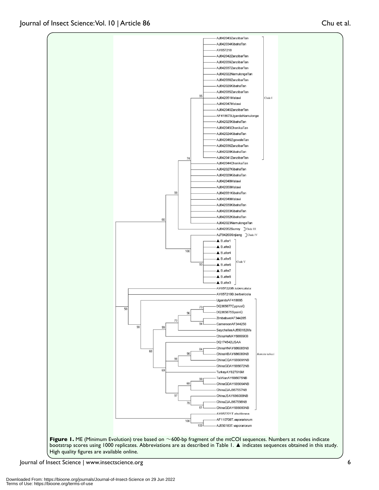

High quality figures are available online.

Journal of Insect Science | www.insectscience.org 6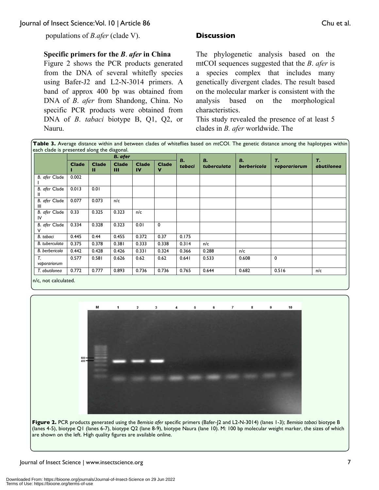populations of *B.afer* (clade V).

#### **Specific primers for the** *B*. *afer* **in China**

Figure 2 shows the PCR products generated from the DNA of several whitefly species using Bafer-J2 and L2-N-3014 primers. A band of approx 400 bp was obtained from DNA of *B*. *afer* from Shandong, China. No specific PCR products were obtained from DNA of *B*. *tabaci* biotype B, Q1, Q2, or Nauru.

#### **Discussion**

The phylogenetic analysis based on the mtCOI sequences suggested that the *B*. *afer* is a species complex that includes many genetically divergent clades. The result based on the molecular marker is consistent with the analysis based on the morphological characteristics.

This study revealed the presence of at least 5 clades in *B. afer* worldwide. The

Table 3. Average distance within and between clades of whiteflies based on mtCOI. The genetic distance among the haplotypes within each clade is presented along the diagonal.

|                     | <b>B.</b> afer |                   |                   |                    |                   |              | В.          |                   |                    |                         |
|---------------------|----------------|-------------------|-------------------|--------------------|-------------------|--------------|-------------|-------------------|--------------------|-------------------------|
|                     | <b>Clade</b>   | <b>Clade</b><br>п | <b>Clade</b><br>Ш | <b>Clade</b><br>IV | <b>Clade</b><br>v | В.<br>tabaci | tuberculata | В.<br>berbericola | т.<br>vaporariorum | т.<br><i>abutilonea</i> |
| B. afer Clade       | 0.002          |                   |                   |                    |                   |              |             |                   |                    |                         |
| B. afer Clade<br>Ш  | 0.013          | 0.01              |                   |                    |                   |              |             |                   |                    |                         |
| B. afer Clade<br>Ш  | 0.077          | 0.073             | n/c               |                    |                   |              |             |                   |                    |                         |
| B. afer Clade<br>IV | 0.33           | 0.325             | 0.323             | n/c                |                   |              |             |                   |                    |                         |
| B. afer Clade       | 0.334          | 0.328             | 0.323             | 0.01               | 0                 |              |             |                   |                    |                         |
| B. tabaci           | 0.445          | 0.44              | 0.455             | 0.372              | 0.37              | 0.175        |             |                   |                    |                         |
| B. tuberculata      | 0.375          | 0.378             | 0.381             | 0.333              | 0.338             | 0.314        | n/c         |                   |                    |                         |
| B. berbericola      | 0.442          | 0.428             | 0.426             | 0.331              | 0.324             | 0.366        | 0.288       | n/c               |                    |                         |
| T.<br>vaporariorum  | 0.577          | 0.581             | 0.626             | 0.62               | 0.62              | 0.641        | 0.533       | 0.608             | 0                  |                         |
| T. abutilonea       | 0.772          | 0.777             | 0.893             | 0.736              | 0.736             | 0.765        | 0.644       | 0.682             | 0.516              | n/c                     |

n/c, not calculated.



**Figure 2.** PCR products generated using the *Bemisia afer* specific primers (Bafer-J2 and L2-N-3014) (lanes 1-3); *Bemisia tabaci* biotype B (lanes 4-5), biotype Q1 (lanes 6-7), biotype Q2 (lane 8-9), biotype Naura (lane 10). M: 100 bp molecular weight marker, the sizes of which are shown on the left. High quality figures are available online.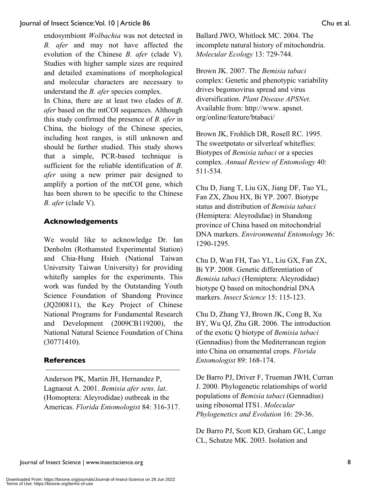endosymbiont *Wolbachia* was not detected in *B. afer* and may not have affected the evolution of the Chinese *B. afer* (clade V). Studies with higher sample sizes are required and detailed examinations of morphological and molecular characters are necessary to understand the *B. afer* species complex.

In China, there are at least two clades of *B*. *afer* based on the mtCOI sequences. Although this study confirmed the presence of *B. afer* in China, the biology of the Chinese species, including host ranges, is still unknown and should be further studied. This study shows that a simple, PCR-based technique is sufficient for the reliable identification of *B*. *afer* using a new primer pair designed to amplify a portion of the mtCOI gene, which has been shown to be specific to the Chinese *B*. *afer* (clade V).

### **Acknowledgements**

We would like to acknowledge Dr. Ian Denholm (Rothamsted Experimental Station) and Chia-Hung Hsieh (National Taiwan University Taiwan University) for providing whitefly samples for the experiments. This work was funded by the Outstanding Youth Science Foundation of Shandong Province (JQ200811), the Key Project of Chinese National Programs for Fundamental Research and Development (2009CB119200), the National Natural Science Foundation of China (30771410).

#### **References**

Anderson PK, Martin JH, Hernandez P, Lagnaout A. 2001. *Bemisia afer sens*. *lat*. (Homoptera: Aleyrodidae) outbreak in the Americas. *Florida Entomologist* 84: 316-317. Ballard JWO, Whitlock MC. 2004. The incomplete natural history of mitochondria. *Molecular Ecology* 13: 729-744.

Brown JK. 2007. The *Bemisia tabaci* complex: Genetic and phenotypic variability drives begomovirus spread and virus diversification. *Plant Disease APSNet*. Available from: http://www. apsnet. org/online/feature/btabaci/

Brown JK, Frohlich DR, Rosell RC. 1995. The sweetpotato or silverleaf whiteflies: Biotypes of *Bemisia tabaci* or a species complex. *Annual Review of Entomology* 40: 511-534.

Chu D, Jiang T, Liu GX, Jiang DF, Tao YL, Fan ZX, Zhou HX, Bi YP. 2007. Biotype status and distribution of *Bemisia tabaci*  (Hemiptera: Aleyrodidae) in Shandong province of China based on mitochondrial DNA markers. *Environmental Entomology* 36: 1290-1295.

Chu D, Wan FH, Tao YL, Liu GX, Fan ZX, Bi YP. 2008. Genetic differentiation of *Bemisia tabaci* (Hemiptera: Aleyrodidae) biotype Q based on mitochondrial DNA markers. *Insect Science* 15: 115-123.

Chu D, Zhang YJ, Brown JK, Cong B, Xu BY, Wu QJ, Zhu GR. 2006. The introduction of the exotic Q biotype of *Bemisia tabaci*  (Gennadius) from the Mediterranean region into China on ornamental crops. *Florida Entomologist* 89: 168-174.

De Barro PJ, Driver F, Trueman JWH, Curran J. 2000. Phylogenetic relationships of world populations of *Bemisia tabaci* (Gennadius) using ribosomal ITS1. *Molecular Phylogenetics and Evolution* 16: 29-36.

De Barro PJ, Scott KD, Graham GC, Lange CL, Schutze MK. 2003. Isolation and